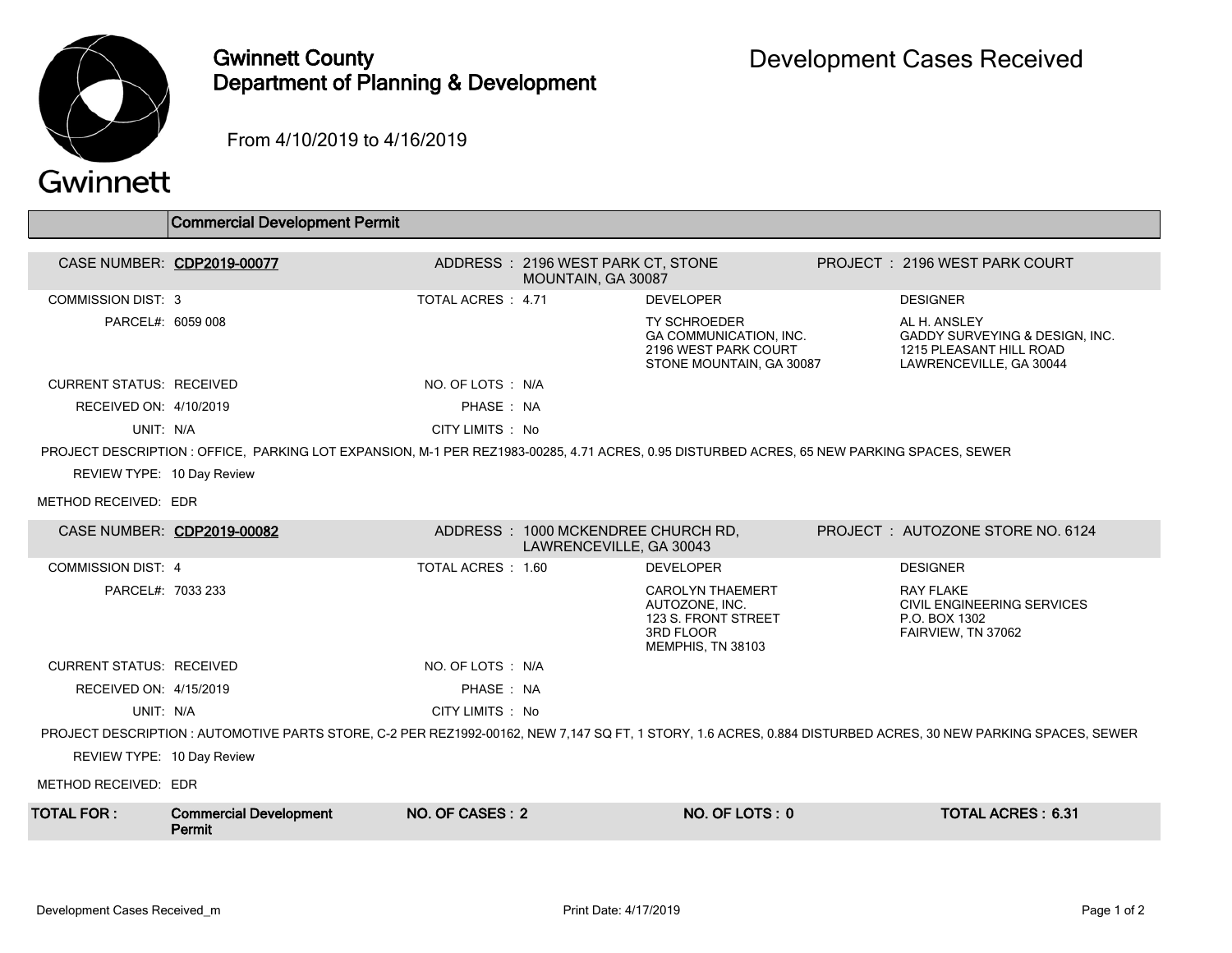

## Gwinnett County Department of Planning & Development

From 4/10/2019 to 4/16/2019

|  | Gwinnett |  |
|--|----------|--|
|  |          |  |
|  |          |  |

|                                 | <b>Commercial Development Permit</b>                                                                                                       |                    |                                                               |                                                                                                    |                                                                                                                                                              |
|---------------------------------|--------------------------------------------------------------------------------------------------------------------------------------------|--------------------|---------------------------------------------------------------|----------------------------------------------------------------------------------------------------|--------------------------------------------------------------------------------------------------------------------------------------------------------------|
|                                 | CASE NUMBER: CDP2019-00077                                                                                                                 |                    | ADDRESS: 2196 WEST PARK CT, STONE<br>MOUNTAIN, GA 30087       |                                                                                                    | PROJECT: 2196 WEST PARK COURT                                                                                                                                |
| <b>COMMISSION DIST: 3</b>       |                                                                                                                                            | TOTAL ACRES: 4.71  |                                                               | <b>DEVELOPER</b>                                                                                   | <b>DESIGNER</b>                                                                                                                                              |
| PARCEL#: 6059 008               |                                                                                                                                            |                    |                                                               | <b>TY SCHROEDER</b><br>GA COMMUNICATION, INC.<br>2196 WEST PARK COURT<br>STONE MOUNTAIN, GA 30087  | AL H. ANSLEY<br>GADDY SURVEYING & DESIGN, INC.<br>1215 PLEASANT HILL ROAD<br>LAWRENCEVILLE, GA 30044                                                         |
| <b>CURRENT STATUS: RECEIVED</b> |                                                                                                                                            | NO. OF LOTS : N/A  |                                                               |                                                                                                    |                                                                                                                                                              |
| RECEIVED ON: 4/10/2019          |                                                                                                                                            | PHASE: NA          |                                                               |                                                                                                    |                                                                                                                                                              |
| UNIT: N/A                       |                                                                                                                                            | CITY LIMITS: No    |                                                               |                                                                                                    |                                                                                                                                                              |
|                                 | PROJECT DESCRIPTION : OFFICE, PARKING LOT EXPANSION, M-1 PER REZ1983-00285, 4.71 ACRES, 0.95 DISTURBED ACRES, 65 NEW PARKING SPACES, SEWER |                    |                                                               |                                                                                                    |                                                                                                                                                              |
| REVIEW TYPE: 10 Day Review      |                                                                                                                                            |                    |                                                               |                                                                                                    |                                                                                                                                                              |
| METHOD RECEIVED: EDR            |                                                                                                                                            |                    |                                                               |                                                                                                    |                                                                                                                                                              |
|                                 | CASE NUMBER: CDP2019-00082                                                                                                                 |                    | ADDRESS: 1000 MCKENDREE CHURCH RD.<br>LAWRENCEVILLE, GA 30043 |                                                                                                    | PROJECT: AUTOZONE STORE NO. 6124                                                                                                                             |
| <b>COMMISSION DIST: 4</b>       |                                                                                                                                            | TOTAL ACRES : 1.60 |                                                               | <b>DEVELOPER</b>                                                                                   | <b>DESIGNER</b>                                                                                                                                              |
| PARCEL#: 7033 233               |                                                                                                                                            |                    |                                                               | <b>CAROLYN THAEMERT</b><br>AUTOZONE, INC.<br>123 S. FRONT STREET<br>3RD FLOOR<br>MEMPHIS, TN 38103 | <b>RAY FLAKE</b><br>CIVIL ENGINEERING SERVICES<br>P.O. BOX 1302<br>FAIRVIEW, TN 37062                                                                        |
| <b>CURRENT STATUS: RECEIVED</b> |                                                                                                                                            | NO. OF LOTS : N/A  |                                                               |                                                                                                    |                                                                                                                                                              |
| RECEIVED ON: 4/15/2019          |                                                                                                                                            | PHASE: NA          |                                                               |                                                                                                    |                                                                                                                                                              |
| UNIT: N/A                       |                                                                                                                                            | CITY LIMITS: No    |                                                               |                                                                                                    |                                                                                                                                                              |
|                                 |                                                                                                                                            |                    |                                                               |                                                                                                    | PROJECT DESCRIPTION: AUTOMOTIVE PARTS STORE, C-2 PER REZ1992-00162, NEW 7,147 SQ FT, 1 STORY, 1.6 ACRES, 0.884 DISTURBED ACRES, 30 NEW PARKING SPACES, SEWER |
| REVIEW TYPE: 10 Day Review      |                                                                                                                                            |                    |                                                               |                                                                                                    |                                                                                                                                                              |
| METHOD RECEIVED: EDR            |                                                                                                                                            |                    |                                                               |                                                                                                    |                                                                                                                                                              |
| <b>TOTAL FOR:</b>               | <b>Commercial Development</b><br>Permit                                                                                                    | NO. OF CASES: 2    |                                                               | NO. OF LOTS: 0                                                                                     | <b>TOTAL ACRES: 6.31</b>                                                                                                                                     |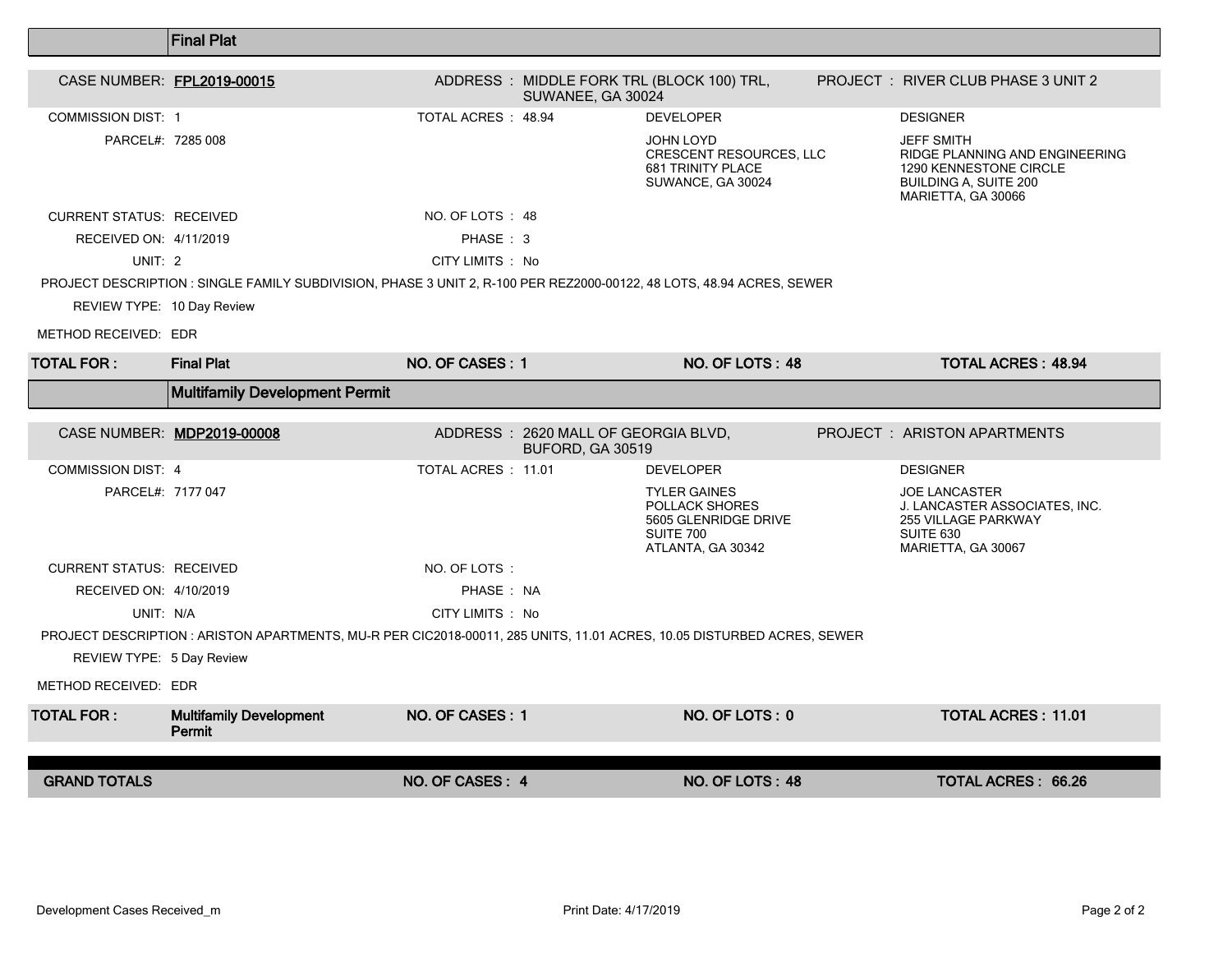|                                                                                                                        | <b>Final Plat</b>                                                                                                     |                     |                                                          |                                                                                                        |  |                                                                                                                                     |  |  |
|------------------------------------------------------------------------------------------------------------------------|-----------------------------------------------------------------------------------------------------------------------|---------------------|----------------------------------------------------------|--------------------------------------------------------------------------------------------------------|--|-------------------------------------------------------------------------------------------------------------------------------------|--|--|
| CASE NUMBER: FPL2019-00015                                                                                             |                                                                                                                       |                     |                                                          | ADDRESS: MIDDLE FORK TRL (BLOCK 100) TRL,                                                              |  | <b>PROJECT : RIVER CLUB PHASE 3 UNIT 2</b>                                                                                          |  |  |
|                                                                                                                        |                                                                                                                       |                     | SUWANEE, GA 30024                                        |                                                                                                        |  |                                                                                                                                     |  |  |
| <b>COMMISSION DIST: 1</b>                                                                                              |                                                                                                                       | TOTAL ACRES : 48.94 |                                                          | <b>DEVELOPER</b>                                                                                       |  | <b>DESIGNER</b>                                                                                                                     |  |  |
| PARCEL#: 7285 008                                                                                                      |                                                                                                                       |                     |                                                          | <b>JOHN LOYD</b><br><b>CRESCENT RESOURCES, LLC</b><br>681 TRINITY PLACE<br>SUWANCE, GA 30024           |  | <b>JEFF SMITH</b><br>RIDGE PLANNING AND ENGINEERING<br>1290 KENNESTONE CIRCLE<br><b>BUILDING A, SUITE 200</b><br>MARIETTA, GA 30066 |  |  |
| <b>CURRENT STATUS: RECEIVED</b>                                                                                        |                                                                                                                       | NO. OF LOTS : 48    |                                                          |                                                                                                        |  |                                                                                                                                     |  |  |
| RECEIVED ON: 4/11/2019                                                                                                 |                                                                                                                       | PHASE: 3            |                                                          |                                                                                                        |  |                                                                                                                                     |  |  |
| UNIT: 2                                                                                                                |                                                                                                                       | CITY LIMITS : No    |                                                          |                                                                                                        |  |                                                                                                                                     |  |  |
|                                                                                                                        | PROJECT DESCRIPTION : SINGLE FAMILY SUBDIVISION, PHASE 3 UNIT 2, R-100 PER REZ2000-00122, 48 LOTS, 48.94 ACRES, SEWER |                     |                                                          |                                                                                                        |  |                                                                                                                                     |  |  |
| REVIEW TYPE: 10 Day Review                                                                                             |                                                                                                                       |                     |                                                          |                                                                                                        |  |                                                                                                                                     |  |  |
| METHOD RECEIVED: EDR                                                                                                   |                                                                                                                       |                     |                                                          |                                                                                                        |  |                                                                                                                                     |  |  |
| <b>TOTAL FOR:</b>                                                                                                      | <b>Final Plat</b>                                                                                                     | NO. OF CASES: 1     |                                                          | NO. OF LOTS: 48                                                                                        |  | <b>TOTAL ACRES: 48.94</b>                                                                                                           |  |  |
|                                                                                                                        | Multifamily Development Permit                                                                                        |                     |                                                          |                                                                                                        |  |                                                                                                                                     |  |  |
|                                                                                                                        |                                                                                                                       |                     |                                                          |                                                                                                        |  |                                                                                                                                     |  |  |
|                                                                                                                        | CASE NUMBER: MDP2019-00008                                                                                            |                     | ADDRESS : 2620 MALL OF GEORGIA BLVD,<br>BUFORD, GA 30519 |                                                                                                        |  | <b>PROJECT : ARISTON APARTMENTS</b>                                                                                                 |  |  |
| <b>COMMISSION DIST: 4</b>                                                                                              |                                                                                                                       | TOTAL ACRES : 11.01 |                                                          | <b>DEVELOPER</b>                                                                                       |  | <b>DESIGNER</b>                                                                                                                     |  |  |
| PARCEL#: 7177 047                                                                                                      |                                                                                                                       |                     |                                                          | <b>TYLER GAINES</b><br>POLLACK SHORES<br>5605 GLENRIDGE DRIVE<br><b>SUITE 700</b><br>ATLANTA, GA 30342 |  | <b>JOE LANCASTER</b><br>J. LANCASTER ASSOCIATES, INC.<br><b>255 VILLAGE PARKWAY</b><br>SUITE 630<br>MARIETTA, GA 30067              |  |  |
| <b>CURRENT STATUS: RECEIVED</b>                                                                                        |                                                                                                                       | NO. OF LOTS:        |                                                          |                                                                                                        |  |                                                                                                                                     |  |  |
| RECEIVED ON: 4/10/2019                                                                                                 |                                                                                                                       | PHASE: NA           |                                                          |                                                                                                        |  |                                                                                                                                     |  |  |
| UNIT: N/A                                                                                                              |                                                                                                                       | CITY LIMITS : No    |                                                          |                                                                                                        |  |                                                                                                                                     |  |  |
| PROJECT DESCRIPTION : ARISTON APARTMENTS, MU-R PER CIC2018-00011, 285 UNITS, 11.01 ACRES, 10.05 DISTURBED ACRES, SEWER |                                                                                                                       |                     |                                                          |                                                                                                        |  |                                                                                                                                     |  |  |
|                                                                                                                        |                                                                                                                       |                     |                                                          |                                                                                                        |  |                                                                                                                                     |  |  |
| REVIEW TYPE: 5 Day Review                                                                                              |                                                                                                                       |                     |                                                          |                                                                                                        |  |                                                                                                                                     |  |  |
| METHOD RECEIVED: EDR                                                                                                   |                                                                                                                       |                     |                                                          |                                                                                                        |  |                                                                                                                                     |  |  |
| <b>TOTAL FOR:</b>                                                                                                      | <b>Multifamily Development</b><br>Permit                                                                              | NO. OF CASES: 1     |                                                          | NO. OF LOTS: 0                                                                                         |  | <b>TOTAL ACRES: 11.01</b>                                                                                                           |  |  |
| <b>GRAND TOTALS</b>                                                                                                    |                                                                                                                       | NO. OF CASES: 4     |                                                          | NO. OF LOTS: 48                                                                                        |  | <b>TOTAL ACRES: 66.26</b>                                                                                                           |  |  |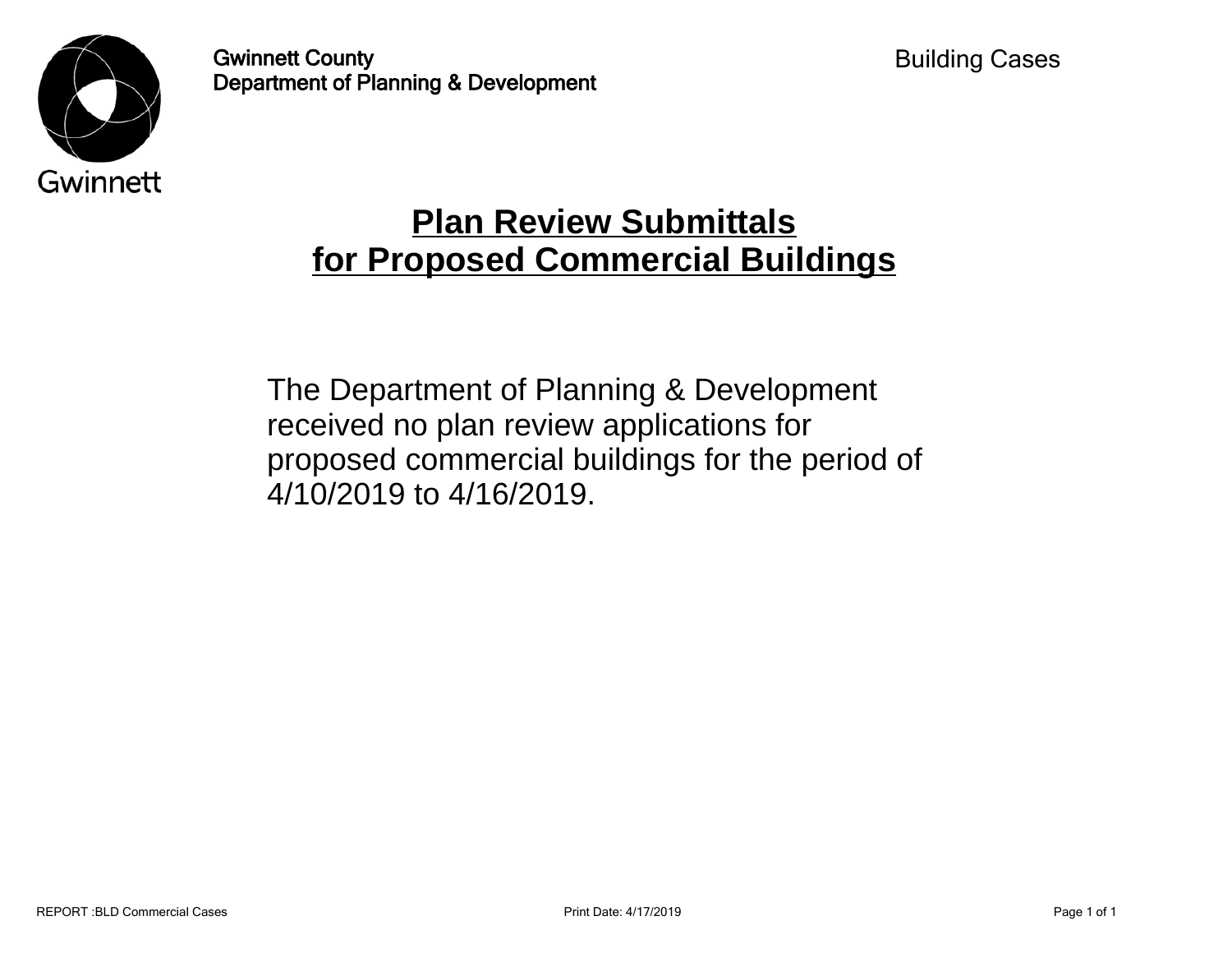

Gwinnett County Department of Planning & Development

## **Plan Review Submittals for Proposed Commercial Buildings**

The Department of Planning & Development received no plan review applications for proposed commercial buildings for the period of 4/10/2019 to 4/16/2019.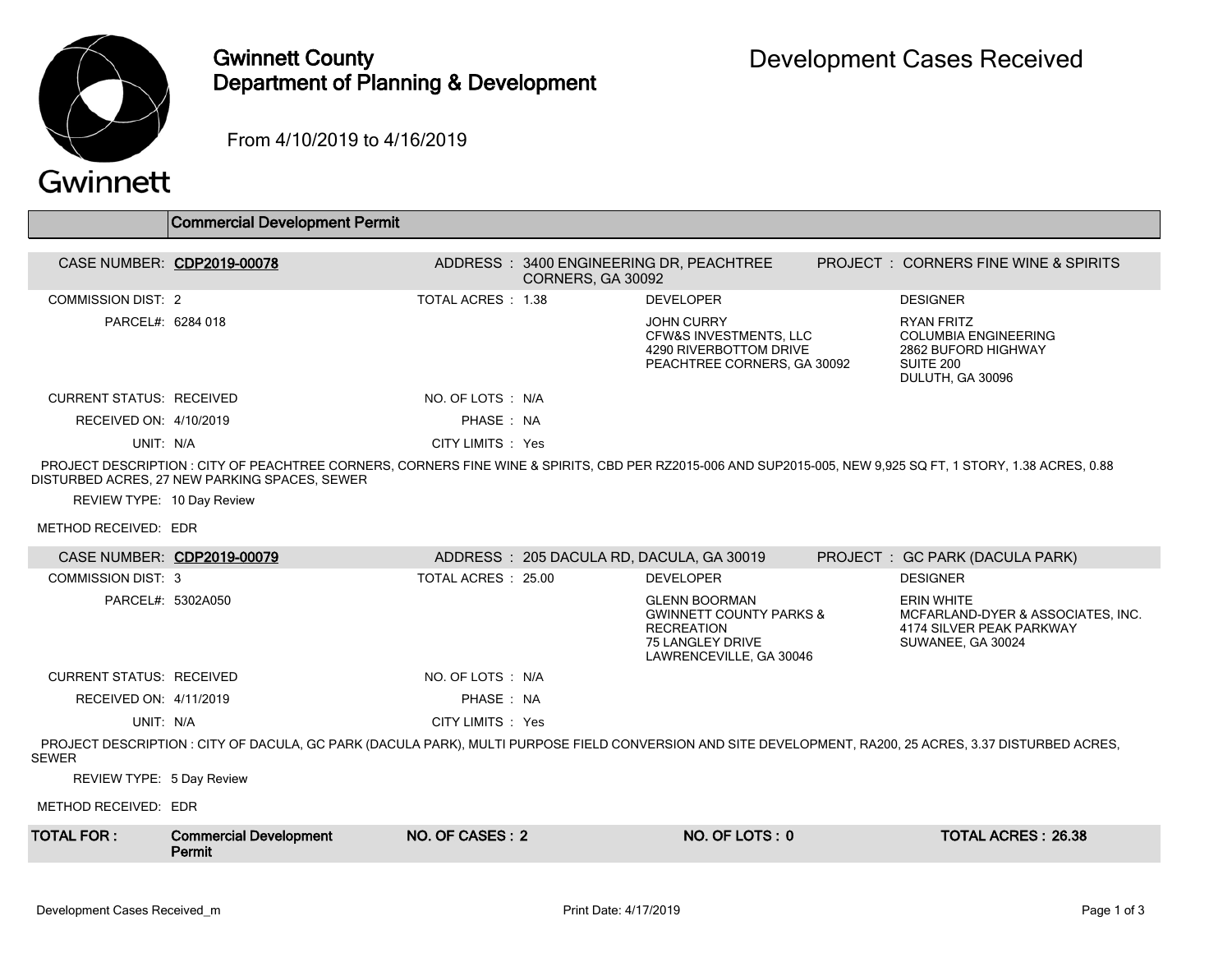

## Gwinnett County Department of Planning & Development

From 4/10/2019 to 4/16/2019

## Gwinnett

|                                 | <b>Commercial Development Permit</b>                                                                                                                                                                          |                     |                   |                                                                                                                                       |                                                                                                          |
|---------------------------------|---------------------------------------------------------------------------------------------------------------------------------------------------------------------------------------------------------------|---------------------|-------------------|---------------------------------------------------------------------------------------------------------------------------------------|----------------------------------------------------------------------------------------------------------|
|                                 | CASE NUMBER: CDP2019-00078                                                                                                                                                                                    |                     | CORNERS, GA 30092 | ADDRESS: 3400 ENGINEERING DR, PEACHTREE                                                                                               | <b>PROJECT : CORNERS FINE WINE &amp; SPIRITS</b>                                                         |
| <b>COMMISSION DIST: 2</b>       |                                                                                                                                                                                                               | TOTAL ACRES: 1.38   |                   | <b>DEVELOPER</b>                                                                                                                      | <b>DESIGNER</b>                                                                                          |
| PARCEL#: 6284 018               |                                                                                                                                                                                                               |                     |                   | <b>JOHN CURRY</b><br>CFW&S INVESTMENTS, LLC<br>4290 RIVERBOTTOM DRIVE<br>PEACHTREE CORNERS, GA 30092                                  | <b>RYAN FRITZ</b><br><b>COLUMBIA ENGINEERING</b><br>2862 BUFORD HIGHWAY<br>SUITE 200<br>DULUTH, GA 30096 |
| <b>CURRENT STATUS: RECEIVED</b> |                                                                                                                                                                                                               | NO. OF LOTS : N/A   |                   |                                                                                                                                       |                                                                                                          |
| RECEIVED ON: 4/10/2019          |                                                                                                                                                                                                               | PHASE: NA           |                   |                                                                                                                                       |                                                                                                          |
| UNIT: N/A                       |                                                                                                                                                                                                               | CITY LIMITS : Yes   |                   |                                                                                                                                       |                                                                                                          |
|                                 | PROJECT DESCRIPTION : CITY OF PEACHTREE CORNERS, CORNERS FINE WINE & SPIRITS, CBD PER RZ2015-006 AND SUP2015-005, NEW 9,925 SQ FT, 1 STORY, 1.38 ACRES, 0.88<br>DISTURBED ACRES, 27 NEW PARKING SPACES, SEWER |                     |                   |                                                                                                                                       |                                                                                                          |
| REVIEW TYPE: 10 Day Review      |                                                                                                                                                                                                               |                     |                   |                                                                                                                                       |                                                                                                          |
| METHOD RECEIVED: EDR            |                                                                                                                                                                                                               |                     |                   |                                                                                                                                       |                                                                                                          |
|                                 | CASE NUMBER: CDP2019-00079                                                                                                                                                                                    |                     |                   | ADDRESS: 205 DACULA RD, DACULA, GA 30019                                                                                              | PROJECT: GC PARK (DACULA PARK)                                                                           |
| <b>COMMISSION DIST: 3</b>       |                                                                                                                                                                                                               | TOTAL ACRES : 25.00 |                   | <b>DEVELOPER</b>                                                                                                                      | <b>DESIGNER</b>                                                                                          |
| PARCEL#: 5302A050               |                                                                                                                                                                                                               |                     |                   | <b>GLENN BOORMAN</b><br><b>GWINNETT COUNTY PARKS &amp;</b><br><b>RECREATION</b><br><b>75 LANGLEY DRIVE</b><br>LAWRENCEVILLE, GA 30046 | <b>ERIN WHITE</b><br>MCFARLAND-DYER & ASSOCIATES, INC.<br>4174 SILVER PEAK PARKWAY<br>SUWANEE, GA 30024  |
| <b>CURRENT STATUS: RECEIVED</b> |                                                                                                                                                                                                               | NO. OF LOTS : N/A   |                   |                                                                                                                                       |                                                                                                          |
| RECEIVED ON: 4/11/2019          |                                                                                                                                                                                                               | PHASE: NA           |                   |                                                                                                                                       |                                                                                                          |
| UNIT: N/A                       |                                                                                                                                                                                                               | CITY LIMITS : Yes   |                   |                                                                                                                                       |                                                                                                          |
| <b>SEWER</b>                    | PROJECT DESCRIPTION : CITY OF DACULA, GC PARK (DACULA PARK), MULTI PURPOSE FIELD CONVERSION AND SITE DEVELOPMENT, RA200, 25 ACRES, 3.37 DISTURBED ACRES,                                                      |                     |                   |                                                                                                                                       |                                                                                                          |
| REVIEW TYPE: 5 Day Review       |                                                                                                                                                                                                               |                     |                   |                                                                                                                                       |                                                                                                          |
| METHOD RECEIVED: EDR            |                                                                                                                                                                                                               |                     |                   |                                                                                                                                       |                                                                                                          |
| <b>TOTAL FOR:</b>               | <b>Commercial Development</b><br>Permit                                                                                                                                                                       | NO. OF CASES: 2     |                   | NO. OF LOTS: 0                                                                                                                        | <b>TOTAL ACRES: 26.38</b>                                                                                |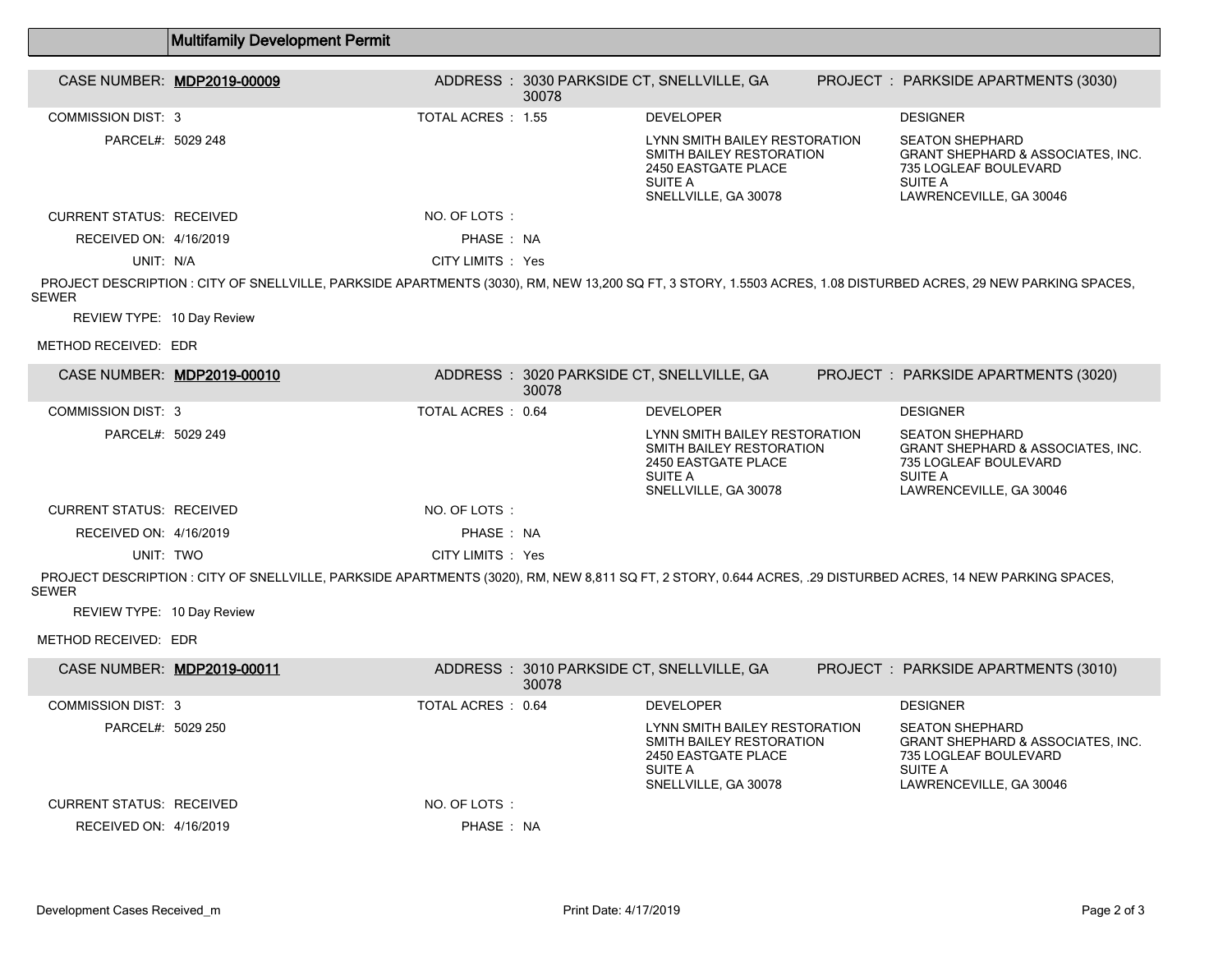|                                 | <b>Multifamily Development Permit</b>                                                                                                                           |                          |       |                                                                                                                     |                                                                                                                                              |
|---------------------------------|-----------------------------------------------------------------------------------------------------------------------------------------------------------------|--------------------------|-------|---------------------------------------------------------------------------------------------------------------------|----------------------------------------------------------------------------------------------------------------------------------------------|
|                                 | CASE NUMBER: MDP2019-00009                                                                                                                                      |                          | 30078 | ADDRESS: 3030 PARKSIDE CT, SNELLVILLE, GA                                                                           | PROJECT : PARKSIDE APARTMENTS (3030)                                                                                                         |
| <b>COMMISSION DIST: 3</b>       |                                                                                                                                                                 | TOTAL ACRES : 1.55       |       | <b>DEVELOPER</b>                                                                                                    | <b>DESIGNER</b>                                                                                                                              |
| PARCEL#: 5029 248               |                                                                                                                                                                 |                          |       | LYNN SMITH BAILEY RESTORATION<br>SMITH BAILEY RESTORATION<br>2450 EASTGATE PLACE<br>SUITE A<br>SNELLVILLE, GA 30078 | <b>SEATON SHEPHARD</b><br><b>GRANT SHEPHARD &amp; ASSOCIATES. INC.</b><br>735 LOGLEAF BOULEVARD<br>SUITE A<br>LAWRENCEVILLE, GA 30046        |
| <b>CURRENT STATUS: RECEIVED</b> |                                                                                                                                                                 | NO. OF LOTS:             |       |                                                                                                                     |                                                                                                                                              |
| RECEIVED ON: 4/16/2019          |                                                                                                                                                                 | PHASE: NA                |       |                                                                                                                     |                                                                                                                                              |
| UNIT: N/A                       |                                                                                                                                                                 | CITY LIMITS : Yes        |       |                                                                                                                     |                                                                                                                                              |
| <b>SEWER</b>                    | PROJECT DESCRIPTION : CITY OF SNELLVILLE, PARKSIDE APARTMENTS (3030), RM, NEW 13,200 SQ FT, 3 STORY, 1.5503 ACRES, 1.08 DISTURBED ACRES, 29 NEW PARKING SPACES, |                          |       |                                                                                                                     |                                                                                                                                              |
| REVIEW TYPE: 10 Day Review      |                                                                                                                                                                 |                          |       |                                                                                                                     |                                                                                                                                              |
| METHOD RECEIVED: EDR            |                                                                                                                                                                 |                          |       |                                                                                                                     |                                                                                                                                              |
|                                 | CASE NUMBER: MDP2019-00010                                                                                                                                      |                          | 30078 | ADDRESS: 3020 PARKSIDE CT, SNELLVILLE, GA                                                                           | PROJECT: PARKSIDE APARTMENTS (3020)                                                                                                          |
| <b>COMMISSION DIST: 3</b>       |                                                                                                                                                                 | TOTAL ACRES: 0.64        |       | <b>DEVELOPER</b>                                                                                                    | <b>DESIGNER</b>                                                                                                                              |
| PARCEL#: 5029 249               |                                                                                                                                                                 |                          |       | LYNN SMITH BAILEY RESTORATION<br>SMITH BAILEY RESTORATION<br>2450 EASTGATE PLACE<br>SUITE A<br>SNELLVILLE, GA 30078 | <b>SEATON SHEPHARD</b><br><b>GRANT SHEPHARD &amp; ASSOCIATES, INC.</b><br>735 LOGLEAF BOULEVARD<br>SUITE A<br>LAWRENCEVILLE, GA 30046        |
| <b>CURRENT STATUS: RECEIVED</b> |                                                                                                                                                                 | NO. OF LOTS:             |       |                                                                                                                     |                                                                                                                                              |
| RECEIVED ON: 4/16/2019          |                                                                                                                                                                 | PHASE: NA                |       |                                                                                                                     |                                                                                                                                              |
| UNIT: TWO                       |                                                                                                                                                                 | CITY LIMITS : Yes        |       |                                                                                                                     |                                                                                                                                              |
| <b>SEWER</b>                    | PROJECT DESCRIPTION : CITY OF SNELLVILLE, PARKSIDE APARTMENTS (3020), RM, NEW 8,811 SQ FT, 2 STORY, 0.644 ACRES, .29 DISTURBED ACRES, 14 NEW PARKING SPACES,    |                          |       |                                                                                                                     |                                                                                                                                              |
| REVIEW TYPE: 10 Day Review      |                                                                                                                                                                 |                          |       |                                                                                                                     |                                                                                                                                              |
| METHOD RECEIVED: EDR            |                                                                                                                                                                 |                          |       |                                                                                                                     |                                                                                                                                              |
|                                 | CASE NUMBER: MDP2019-00011                                                                                                                                      |                          | 30078 | ADDRESS: 3010 PARKSIDE CT, SNELLVILLE, GA                                                                           | PROJECT : PARKSIDE APARTMENTS (3010)                                                                                                         |
| <b>COMMISSION DIST: 3</b>       |                                                                                                                                                                 | <b>TOTAL ACRES: 0.64</b> |       | <b>DEVELOPER</b>                                                                                                    | <b>DESIGNER</b>                                                                                                                              |
| PARCEL#: 5029 250               |                                                                                                                                                                 |                          |       | LYNN SMITH BAILEY RESTORATION<br>SMITH BAILEY RESTORATION<br>2450 EASTGATE PLACE<br>SUITE A<br>SNELLVILLE, GA 30078 | <b>SEATON SHEPHARD</b><br><b>GRANT SHEPHARD &amp; ASSOCIATES, INC.</b><br>735 LOGLEAF BOULEVARD<br><b>SUITE A</b><br>LAWRENCEVILLE, GA 30046 |
| <b>CURRENT STATUS: RECEIVED</b> |                                                                                                                                                                 | NO. OF LOTS:             |       |                                                                                                                     |                                                                                                                                              |